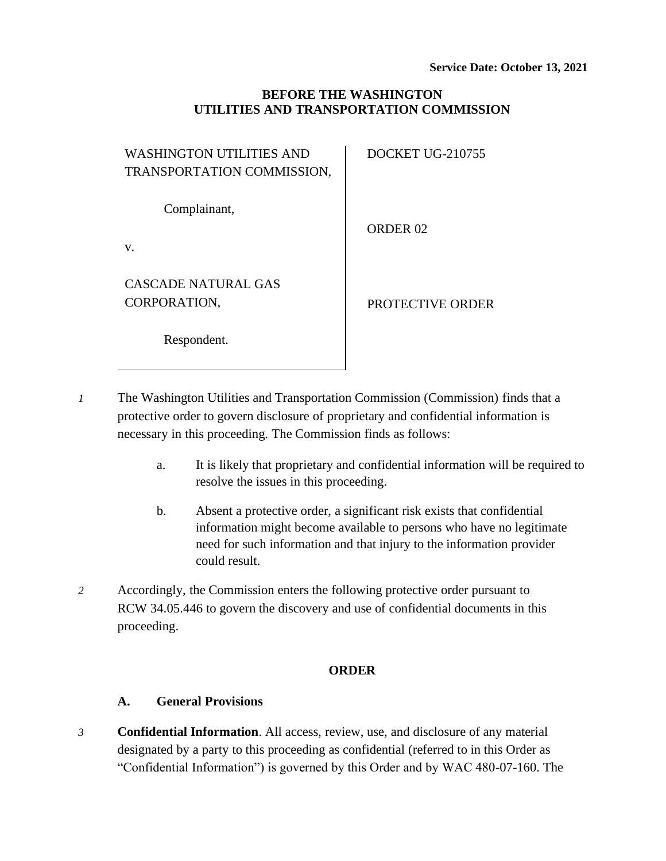## **BEFORE THE WASHINGTON UTILITIES AND TRANSPORTATION COMMISSION**

| WASHINGTON UTILITIES AND   | <b>DOCKET UG-210755</b> |
|----------------------------|-------------------------|
| TRANSPORTATION COMMISSION, |                         |
|                            |                         |
| Complainant,               |                         |
|                            | ORDER <sub>02</sub>     |
| v.                         |                         |
|                            |                         |
| CASCADE NATURAL GAS        |                         |
| CORPORATION,               | PROTECTIVE ORDER        |
|                            |                         |
| Respondent.                |                         |
|                            |                         |

*1* The Washington Utilities and Transportation Commission (Commission) finds that a protective order to govern disclosure of proprietary and confidential information is necessary in this proceeding. The Commission finds as follows:

- a. It is likely that proprietary and confidential information will be required to resolve the issues in this proceeding.
- b. Absent a protective order, a significant risk exists that confidential information might become available to persons who have no legitimate need for such information and that injury to the information provider could result.
- *2* Accordingly, the Commission enters the following protective order pursuant to RCW 34.05.446 to govern the discovery and use of confidential documents in this proceeding.

### **ORDER**

## **A. General Provisions**

*3* **Confidential Information**. All access, review, use, and disclosure of any material designated by a party to this proceeding as confidential (referred to in this Order as "Confidential Information") is governed by this Order and by WAC 480-07-160. The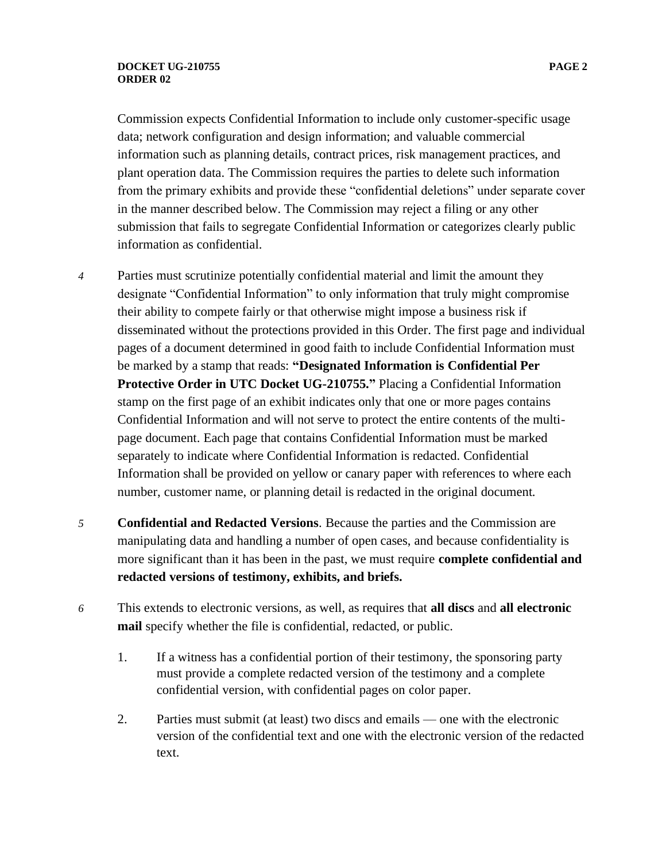#### **DOCKET UG-210755 PAGE 2 ORDER 02**

Commission expects Confidential Information to include only customer-specific usage data; network configuration and design information; and valuable commercial information such as planning details, contract prices, risk management practices, and plant operation data. The Commission requires the parties to delete such information from the primary exhibits and provide these "confidential deletions" under separate cover in the manner described below. The Commission may reject a filing or any other submission that fails to segregate Confidential Information or categorizes clearly public information as confidential.

- *4* Parties must scrutinize potentially confidential material and limit the amount they designate "Confidential Information" to only information that truly might compromise their ability to compete fairly or that otherwise might impose a business risk if disseminated without the protections provided in this Order. The first page and individual pages of a document determined in good faith to include Confidential Information must be marked by a stamp that reads: **"Designated Information is Confidential Per Protective Order in UTC Docket UG-210755."** Placing a Confidential Information stamp on the first page of an exhibit indicates only that one or more pages contains Confidential Information and will not serve to protect the entire contents of the multipage document. Each page that contains Confidential Information must be marked separately to indicate where Confidential Information is redacted. Confidential Information shall be provided on yellow or canary paper with references to where each number, customer name, or planning detail is redacted in the original document.
- *5* **Confidential and Redacted Versions**. Because the parties and the Commission are manipulating data and handling a number of open cases, and because confidentiality is more significant than it has been in the past, we must require **complete confidential and redacted versions of testimony, exhibits, and briefs.**
- *6* This extends to electronic versions, as well, as requires that **all discs** and **all electronic mail** specify whether the file is confidential, redacted, or public.
	- 1. If a witness has a confidential portion of their testimony, the sponsoring party must provide a complete redacted version of the testimony and a complete confidential version, with confidential pages on color paper.
	- 2. Parties must submit (at least) two discs and emails one with the electronic version of the confidential text and one with the electronic version of the redacted text.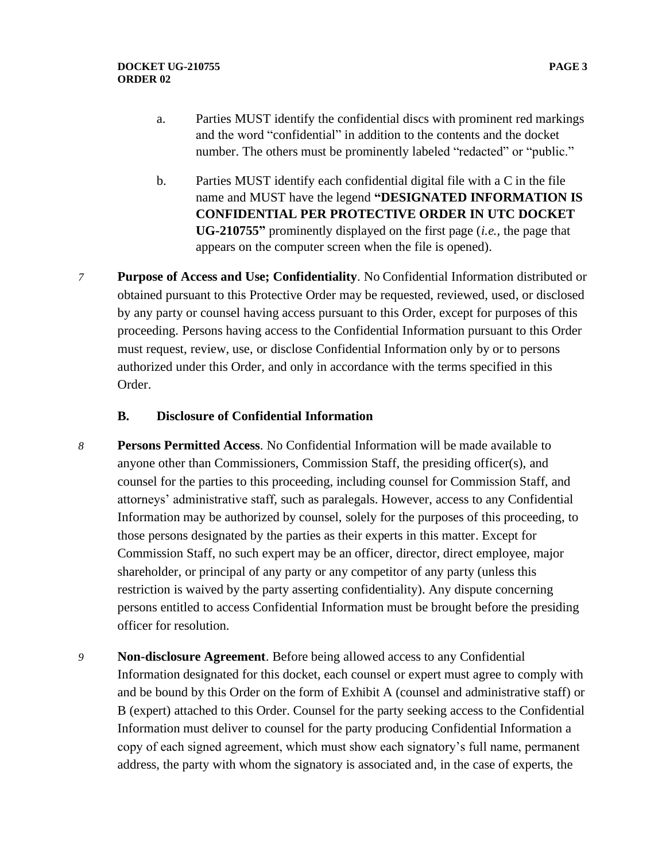- a. Parties MUST identify the confidential discs with prominent red markings and the word "confidential" in addition to the contents and the docket number. The others must be prominently labeled "redacted" or "public."
- b. Parties MUST identify each confidential digital file with a C in the file name and MUST have the legend **"DESIGNATED INFORMATION IS CONFIDENTIAL PER PROTECTIVE ORDER IN UTC DOCKET UG-210755"** prominently displayed on the first page (*i.e.,* the page that appears on the computer screen when the file is opened).
- *7* **Purpose of Access and Use; Confidentiality**. No Confidential Information distributed or obtained pursuant to this Protective Order may be requested, reviewed, used, or disclosed by any party or counsel having access pursuant to this Order, except for purposes of this proceeding. Persons having access to the Confidential Information pursuant to this Order must request, review, use, or disclose Confidential Information only by or to persons authorized under this Order, and only in accordance with the terms specified in this Order.

## **B. Disclosure of Confidential Information**

- *8* **Persons Permitted Access**. No Confidential Information will be made available to anyone other than Commissioners, Commission Staff, the presiding officer(s), and counsel for the parties to this proceeding, including counsel for Commission Staff, and attorneys' administrative staff, such as paralegals. However, access to any Confidential Information may be authorized by counsel, solely for the purposes of this proceeding, to those persons designated by the parties as their experts in this matter. Except for Commission Staff, no such expert may be an officer, director, direct employee, major shareholder, or principal of any party or any competitor of any party (unless this restriction is waived by the party asserting confidentiality). Any dispute concerning persons entitled to access Confidential Information must be brought before the presiding officer for resolution.
- *9* **Non-disclosure Agreement**. Before being allowed access to any Confidential Information designated for this docket, each counsel or expert must agree to comply with and be bound by this Order on the form of Exhibit A (counsel and administrative staff) or B (expert) attached to this Order. Counsel for the party seeking access to the Confidential Information must deliver to counsel for the party producing Confidential Information a copy of each signed agreement, which must show each signatory's full name, permanent address, the party with whom the signatory is associated and, in the case of experts, the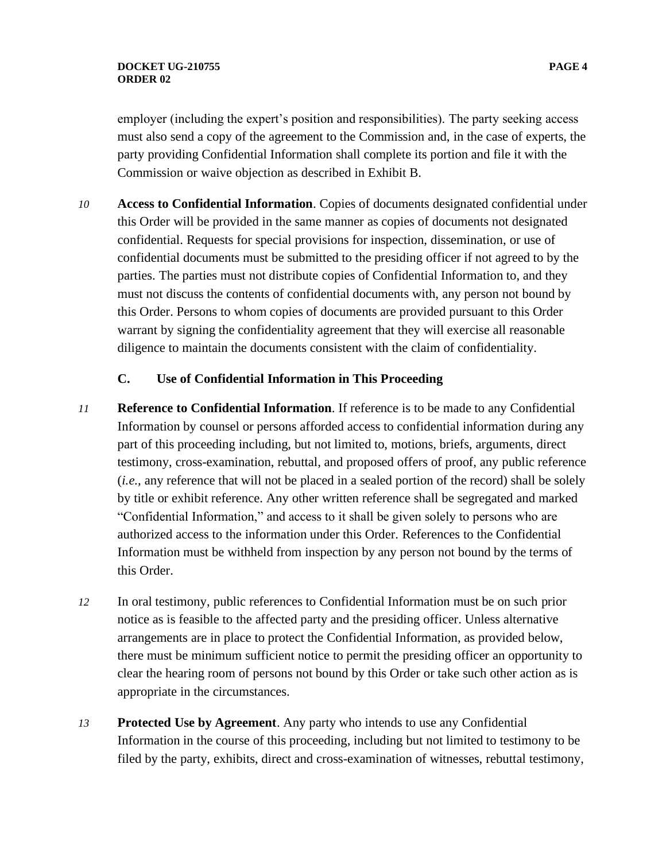#### **DOCKET UG-210755 PAGE 4 ORDER 02**

employer (including the expert's position and responsibilities). The party seeking access must also send a copy of the agreement to the Commission and, in the case of experts, the party providing Confidential Information shall complete its portion and file it with the Commission or waive objection as described in Exhibit B.

*10* **Access to Confidential Information**. Copies of documents designated confidential under this Order will be provided in the same manner as copies of documents not designated confidential. Requests for special provisions for inspection, dissemination, or use of confidential documents must be submitted to the presiding officer if not agreed to by the parties. The parties must not distribute copies of Confidential Information to, and they must not discuss the contents of confidential documents with, any person not bound by this Order. Persons to whom copies of documents are provided pursuant to this Order warrant by signing the confidentiality agreement that they will exercise all reasonable diligence to maintain the documents consistent with the claim of confidentiality.

# **C. Use of Confidential Information in This Proceeding**

- *11* **Reference to Confidential Information**. If reference is to be made to any Confidential Information by counsel or persons afforded access to confidential information during any part of this proceeding including, but not limited to, motions, briefs, arguments, direct testimony, cross-examination, rebuttal, and proposed offers of proof, any public reference (*i.e.,* any reference that will not be placed in a sealed portion of the record) shall be solely by title or exhibit reference. Any other written reference shall be segregated and marked "Confidential Information," and access to it shall be given solely to persons who are authorized access to the information under this Order. References to the Confidential Information must be withheld from inspection by any person not bound by the terms of this Order.
- *12* In oral testimony, public references to Confidential Information must be on such prior notice as is feasible to the affected party and the presiding officer. Unless alternative arrangements are in place to protect the Confidential Information, as provided below, there must be minimum sufficient notice to permit the presiding officer an opportunity to clear the hearing room of persons not bound by this Order or take such other action as is appropriate in the circumstances.
- *13* **Protected Use by Agreement**. Any party who intends to use any Confidential Information in the course of this proceeding, including but not limited to testimony to be filed by the party, exhibits, direct and cross-examination of witnesses, rebuttal testimony,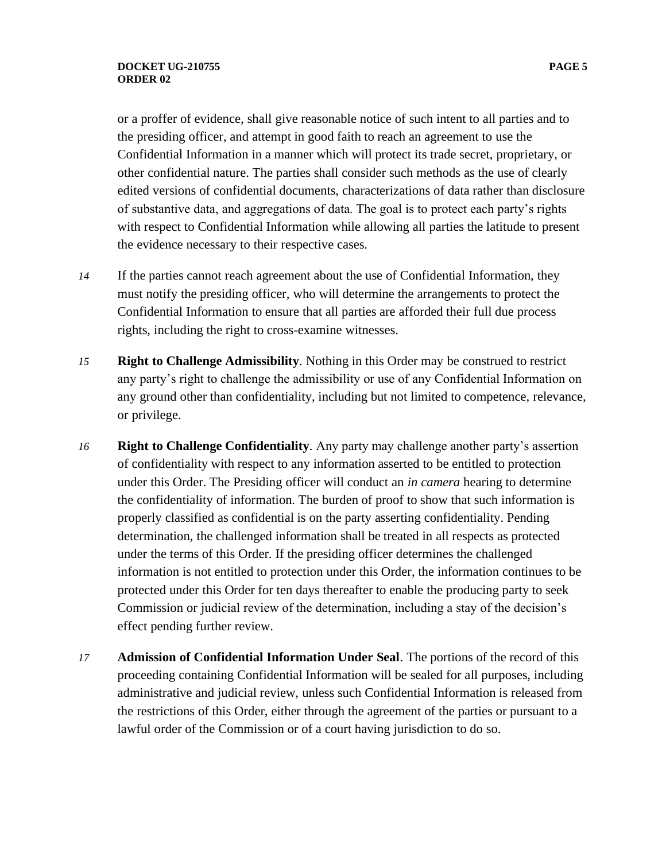or a proffer of evidence, shall give reasonable notice of such intent to all parties and to the presiding officer, and attempt in good faith to reach an agreement to use the Confidential Information in a manner which will protect its trade secret, proprietary, or other confidential nature. The parties shall consider such methods as the use of clearly edited versions of confidential documents, characterizations of data rather than disclosure of substantive data, and aggregations of data. The goal is to protect each party's rights with respect to Confidential Information while allowing all parties the latitude to present the evidence necessary to their respective cases.

- *14* If the parties cannot reach agreement about the use of Confidential Information, they must notify the presiding officer, who will determine the arrangements to protect the Confidential Information to ensure that all parties are afforded their full due process rights, including the right to cross-examine witnesses.
- *15* **Right to Challenge Admissibility**. Nothing in this Order may be construed to restrict any party's right to challenge the admissibility or use of any Confidential Information on any ground other than confidentiality, including but not limited to competence, relevance, or privilege.
- *16* **Right to Challenge Confidentiality**. Any party may challenge another party's assertion of confidentiality with respect to any information asserted to be entitled to protection under this Order. The Presiding officer will conduct an *in camera* hearing to determine the confidentiality of information. The burden of proof to show that such information is properly classified as confidential is on the party asserting confidentiality. Pending determination, the challenged information shall be treated in all respects as protected under the terms of this Order. If the presiding officer determines the challenged information is not entitled to protection under this Order, the information continues to be protected under this Order for ten days thereafter to enable the producing party to seek Commission or judicial review of the determination, including a stay of the decision's effect pending further review.
- *17* **Admission of Confidential Information Under Seal**. The portions of the record of this proceeding containing Confidential Information will be sealed for all purposes, including administrative and judicial review, unless such Confidential Information is released from the restrictions of this Order, either through the agreement of the parties or pursuant to a lawful order of the Commission or of a court having jurisdiction to do so.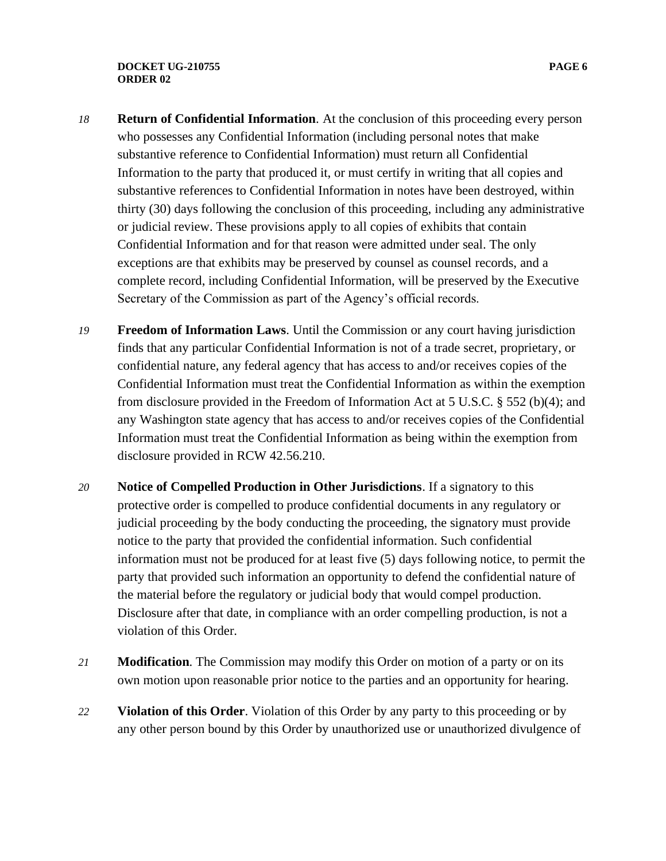#### **DOCKET UG-210755 PAGE 6 ORDER 02**

- *18* **Return of Confidential Information**. At the conclusion of this proceeding every person who possesses any Confidential Information (including personal notes that make substantive reference to Confidential Information) must return all Confidential Information to the party that produced it, or must certify in writing that all copies and substantive references to Confidential Information in notes have been destroyed, within thirty (30) days following the conclusion of this proceeding, including any administrative or judicial review. These provisions apply to all copies of exhibits that contain Confidential Information and for that reason were admitted under seal. The only exceptions are that exhibits may be preserved by counsel as counsel records, and a complete record, including Confidential Information, will be preserved by the Executive Secretary of the Commission as part of the Agency's official records.
- *19* **Freedom of Information Laws**. Until the Commission or any court having jurisdiction finds that any particular Confidential Information is not of a trade secret, proprietary, or confidential nature, any federal agency that has access to and/or receives copies of the Confidential Information must treat the Confidential Information as within the exemption from disclosure provided in the Freedom of Information Act at 5 U.S.C. § 552 (b)(4); and any Washington state agency that has access to and/or receives copies of the Confidential Information must treat the Confidential Information as being within the exemption from disclosure provided in RCW 42.56.210.
- *20* **Notice of Compelled Production in Other Jurisdictions**. If a signatory to this protective order is compelled to produce confidential documents in any regulatory or judicial proceeding by the body conducting the proceeding, the signatory must provide notice to the party that provided the confidential information. Such confidential information must not be produced for at least five (5) days following notice, to permit the party that provided such information an opportunity to defend the confidential nature of the material before the regulatory or judicial body that would compel production. Disclosure after that date, in compliance with an order compelling production, is not a violation of this Order.
- *21* **Modification**. The Commission may modify this Order on motion of a party or on its own motion upon reasonable prior notice to the parties and an opportunity for hearing.
- *22* **Violation of this Order**. Violation of this Order by any party to this proceeding or by any other person bound by this Order by unauthorized use or unauthorized divulgence of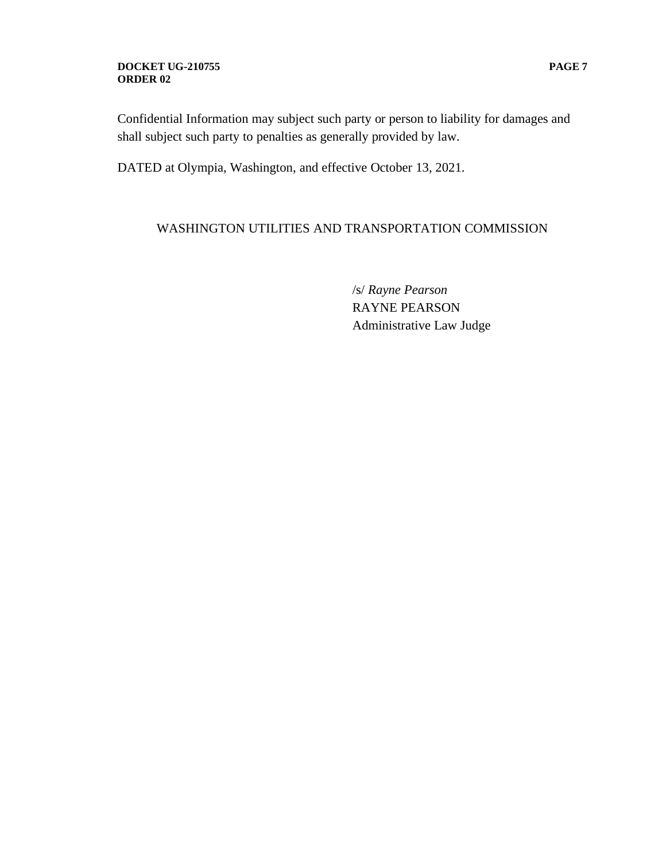#### **DOCKET UG-210755 PAGE 7 ORDER 02**

Confidential Information may subject such party or person to liability for damages and shall subject such party to penalties as generally provided by law.

DATED at Olympia, Washington, and effective October 13, 2021.

# WASHINGTON UTILITIES AND TRANSPORTATION COMMISSION

/s/ *Rayne Pearson* RAYNE PEARSON Administrative Law Judge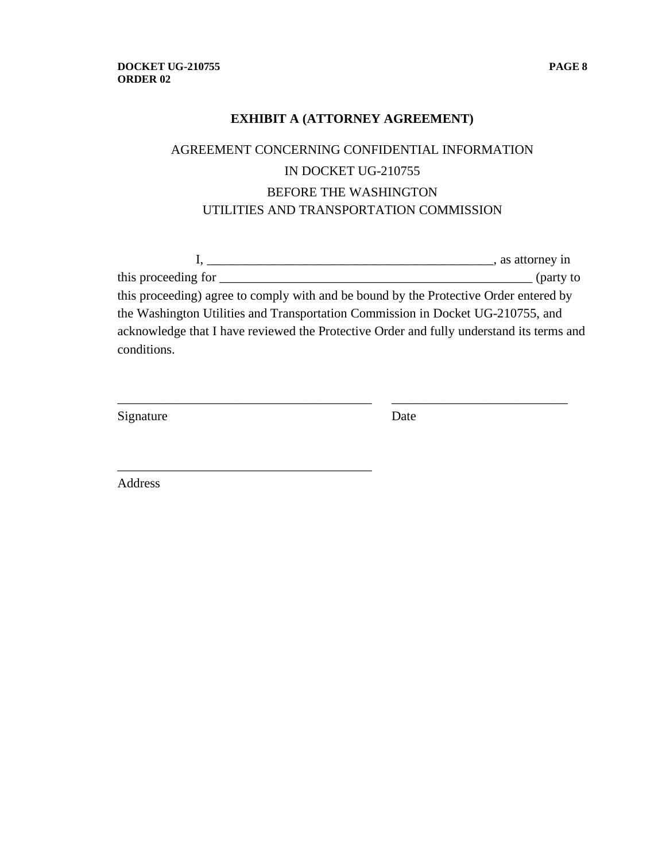# **EXHIBIT A (ATTORNEY AGREEMENT)**

# AGREEMENT CONCERNING CONFIDENTIAL INFORMATION IN DOCKET UG-210755 BEFORE THE WASHINGTON UTILITIES AND TRANSPORTATION COMMISSION

|                                                                                          | s as attorney in |
|------------------------------------------------------------------------------------------|------------------|
| this proceeding for                                                                      | $\int$ (party to |
| this proceeding) agree to comply with and be bound by the Protective Order entered by    |                  |
| the Washington Utilities and Transportation Commission in Docket UG-210755, and          |                  |
| acknowledge that I have reviewed the Protective Order and fully understand its terms and |                  |
| conditions.                                                                              |                  |

\_\_\_\_\_\_\_\_\_\_\_\_\_\_\_\_\_\_\_\_\_\_\_\_\_\_\_\_\_\_\_\_\_\_\_\_\_\_\_ \_\_\_\_\_\_\_\_\_\_\_\_\_\_\_\_\_\_\_\_\_\_\_\_\_\_\_

Signature Date

Address

\_\_\_\_\_\_\_\_\_\_\_\_\_\_\_\_\_\_\_\_\_\_\_\_\_\_\_\_\_\_\_\_\_\_\_\_\_\_\_